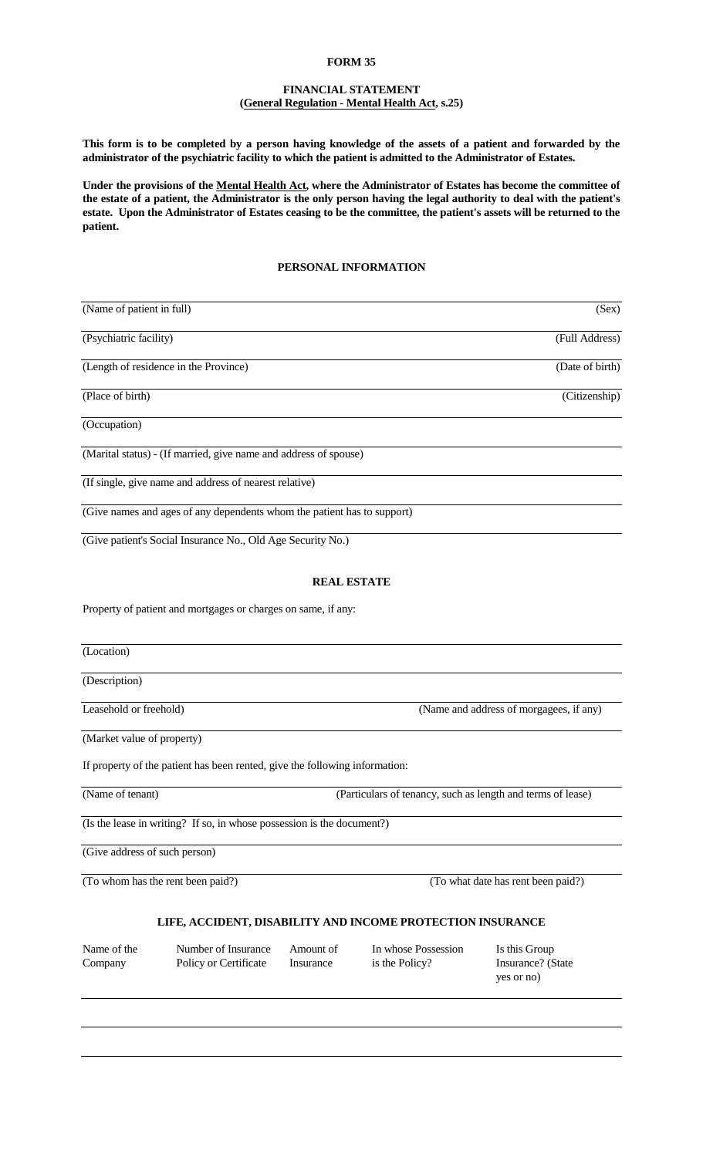#### **FORM 35**

## **FINANCIAL STATEMENT (General Regulation - Mental Health Act, s.25)**

**This form is to be completed by a person having knowledge of the assets of a patient and forwarded by the administrator of the psychiatric facility to which the patient is admitted to the Administrator of Estates.**

**Under the provisions of the Mental Health Act, where the Administrator of Estates has become the committee of the estate of a patient, the Administrator is the only person having the legal authority to deal with the patient's estate. Upon the Administrator of Estates ceasing to be the committee, the patient's assets will be returned to the patient.**

## **PERSONAL INFORMATION**

| (Name of patient in full)             |                                                                             |                        |                                                             | (Sex)                                            |  |
|---------------------------------------|-----------------------------------------------------------------------------|------------------------|-------------------------------------------------------------|--------------------------------------------------|--|
| (Psychiatric facility)                |                                                                             |                        |                                                             | (Full Address)                                   |  |
| (Length of residence in the Province) |                                                                             |                        |                                                             | (Date of birth)                                  |  |
| (Place of birth)                      |                                                                             |                        |                                                             | (Citizenship)                                    |  |
| (Occupation)                          |                                                                             |                        |                                                             |                                                  |  |
|                                       | (Marital status) - (If married, give name and address of spouse)            |                        |                                                             |                                                  |  |
|                                       | (If single, give name and address of nearest relative)                      |                        |                                                             |                                                  |  |
|                                       | (Give names and ages of any dependents whom the patient has to support)     |                        |                                                             |                                                  |  |
|                                       | (Give patient's Social Insurance No., Old Age Security No.)                 |                        |                                                             |                                                  |  |
|                                       |                                                                             | <b>REAL ESTATE</b>     |                                                             |                                                  |  |
|                                       | Property of patient and mortgages or charges on same, if any:               |                        |                                                             |                                                  |  |
|                                       |                                                                             |                        |                                                             |                                                  |  |
| (Location)                            |                                                                             |                        |                                                             |                                                  |  |
| (Description)                         |                                                                             |                        |                                                             |                                                  |  |
| Leasehold or freehold)                |                                                                             |                        | (Name and address of morgagees, if any)                     |                                                  |  |
| (Market value of property)            |                                                                             |                        |                                                             |                                                  |  |
|                                       | If property of the patient has been rented, give the following information: |                        |                                                             |                                                  |  |
| (Name of tenant)                      |                                                                             |                        | (Particulars of tenancy, such as length and terms of lease) |                                                  |  |
|                                       | (Is the lease in writing? If so, in whose possession is the document?)      |                        |                                                             |                                                  |  |
| (Give address of such person)         |                                                                             |                        |                                                             |                                                  |  |
| (To whom has the rent been paid?)     |                                                                             |                        |                                                             | (To what date has rent been paid?)               |  |
|                                       |                                                                             |                        |                                                             |                                                  |  |
|                                       |                                                                             |                        | LIFE, ACCIDENT, DISABILITY AND INCOME PROTECTION INSURANCE  |                                                  |  |
| Name of the<br>Company                | Number of Insurance<br>Policy or Certificate                                | Amount of<br>Insurance | In whose Possession<br>is the Policy?                       | Is this Group<br>Insurance? (State<br>yes or no) |  |
|                                       |                                                                             |                        |                                                             |                                                  |  |
|                                       |                                                                             |                        |                                                             |                                                  |  |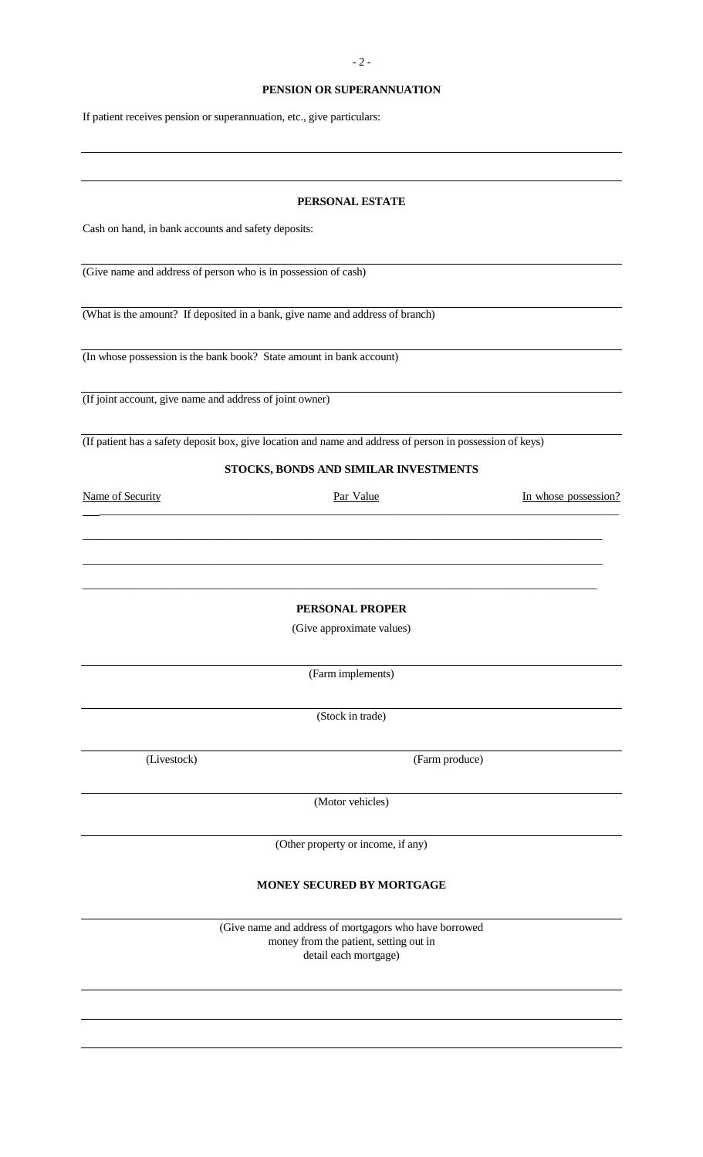### **PENSION OR SUPERANNUATION**

If patient receives pension or superannuation, etc., give particulars:

#### **PERSONAL ESTATE**

Cash on hand, in bank accounts and safety deposits:

(Give name and address of person who is in possession of cash)

(What is the amount? If deposited in a bank, give name and address of branch)

(In whose possession is the bank book? State amount in bank account)

(If joint account, give name and address of joint owner)

(If patient has a safety deposit box, give location and name and address of person in possession of keys)

## **STOCKS, BONDS AND SIMILAR INVESTMENTS**

 $\overline{\phantom{a}}$  ,  $\overline{\phantom{a}}$  ,  $\overline{\phantom{a}}$  ,  $\overline{\phantom{a}}$  ,  $\overline{\phantom{a}}$  ,  $\overline{\phantom{a}}$  ,  $\overline{\phantom{a}}$  ,  $\overline{\phantom{a}}$  ,  $\overline{\phantom{a}}$  ,  $\overline{\phantom{a}}$  ,  $\overline{\phantom{a}}$  ,  $\overline{\phantom{a}}$  ,  $\overline{\phantom{a}}$  ,  $\overline{\phantom{a}}$  ,  $\overline{\phantom{a}}$  ,  $\overline{\phantom{a}}$ 

 $\overline{\phantom{a}}$  ,  $\overline{\phantom{a}}$  ,  $\overline{\phantom{a}}$  ,  $\overline{\phantom{a}}$  ,  $\overline{\phantom{a}}$  ,  $\overline{\phantom{a}}$  ,  $\overline{\phantom{a}}$  ,  $\overline{\phantom{a}}$  ,  $\overline{\phantom{a}}$  ,  $\overline{\phantom{a}}$  ,  $\overline{\phantom{a}}$  ,  $\overline{\phantom{a}}$  ,  $\overline{\phantom{a}}$  ,  $\overline{\phantom{a}}$  ,  $\overline{\phantom{a}}$  ,  $\overline{\phantom{a}}$ 

 $\_$  ,  $\_$  ,  $\_$  ,  $\_$  ,  $\_$  ,  $\_$  ,  $\_$  ,  $\_$  ,  $\_$  ,  $\_$  ,  $\_$  ,  $\_$  ,  $\_$  ,  $\_$  ,  $\_$  ,  $\_$  ,  $\_$  ,  $\_$  ,  $\_$  ,  $\_$  ,  $\_$  ,  $\_$  ,  $\_$  ,  $\_$  ,  $\_$  ,  $\_$  ,  $\_$  ,  $\_$  ,  $\_$  ,  $\_$  ,  $\_$  ,  $\_$  ,  $\_$  ,  $\_$  ,  $\_$  ,  $\_$  ,  $\_$  ,

 $\overline{\phantom{a}}$  , and the contribution of the contribution of the contribution of the contribution of the contribution of the contribution of the contribution of the contribution of the contribution of the contribution of the

Name of Security **Par Value Par Value** In whose possession?

**PERSONAL PROPER**

(Give approximate values)

(Farm implements)

(Stock in trade)

(Livestock) (Farm produce)

(Motor vehicles)

(Other property or income, if any)

# **MONEY SECURED BY MORTGAGE**

(Give name and address of mortgagors who have borrowed money from the patient, setting out in detail each mortgage)

- 2 -